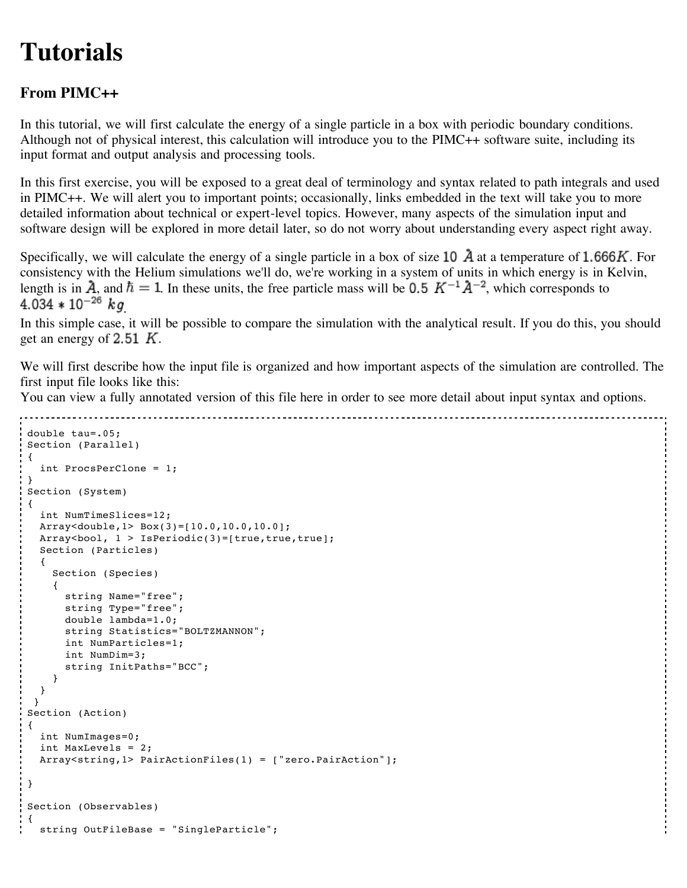## **Tutorials**

## **From PIMC++**

In this tutorial, we will first calculate the energy of a single particle in a box with periodic boundary conditions. Although not of physical interest, this calculation will introduce you to the PIMC++ software suite, including its input format and output analysis and processing tools.

In this first exercise, you will be exposed to a great deal of terminology and syntax related to path integrals and used in PIMC++. We will alert you to important points; occasionally, links embedded in the text will take you to more detailed information about technical or expert-level topics. However, many aspects of the simulation input and software design will be explored in more detail later, so do not worry about understanding every aspect right away.

Specifically, we will calculate the energy of a single particle in a box of size 10  $\vec{A}$  at a temperature of 1.666K. For consistency with the Helium simulations we'll do, we're working in a system of units in which energy is in Kelvin, length is in  $\hat{A}$ , and  $\hbar = 1$ . In these units, the free particle mass will be 0.5  $K^{-1}\hat{A}^{-2}$ , which corresponds to  $4.034 * 10^{-26}$  kg

In this simple case, it will be possible to compare the simulation with the analytical result. If you do this, you should get an energy of 2.51  $K$ .

We will first describe how the input file is organized and how important aspects of the simulation are controlled. The first input file looks like this:

You can view a fully annotated version of this file here in order to see more detail about input syntax and options.

```
double tau=.05;
Section (Parallel)
{
  int ProcsPerClone = 1;
}
Section (System)
{
  int NumTimeSlices=12;
  Array<double,1> Box(3)=[10.0,10.0,10.0];
  Array<bool, 1 > IsPeriodic(3)=[true,true,true];
  Section (Particles)
  {
    Section (Species)
    {
      string Name="free";
      string Type="free";
      double lambda=1.0;
      string Statistics="BOLTZMANNON";
      int NumParticles=1;
      int NumDim=3;
      string InitPaths="BCC";
    }
  }
 }
Section (Action)
{
  int NumImages=0;
  int MaxLevels = 2;
  Array<string,1> PairActionFiles(1) = ["zero.PairAction"];
}
Section (Observables)
{
  string OutFileBase = "SingleParticle";
```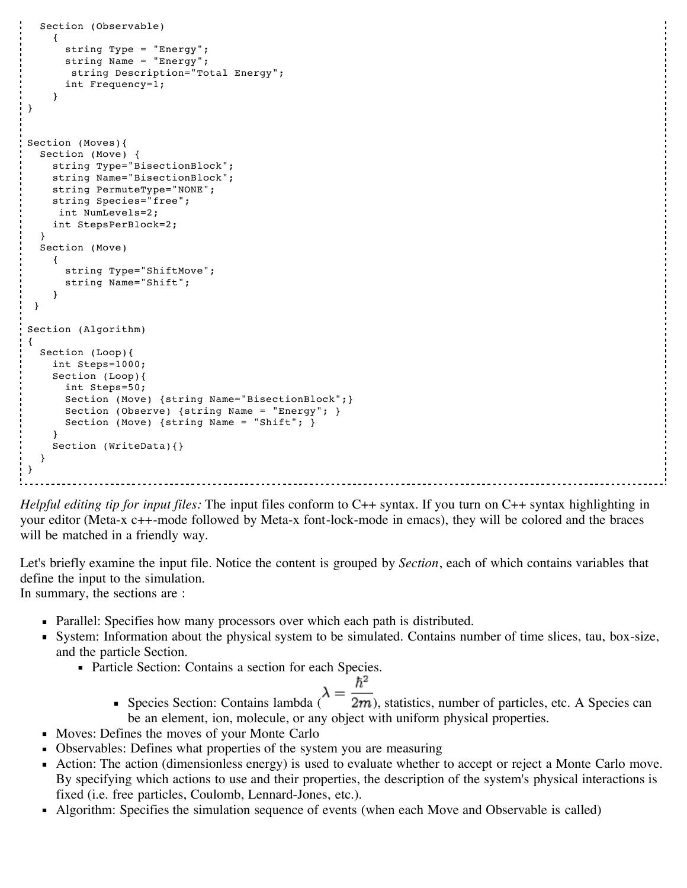```
Section (Observable)
    {
      string Type = "Energy";
      string Name = "Energy";
       string Description="Total Energy";
      int Frequency=1;
    }
}
Section (Moves){
  Section (Move) {
    string Type="BisectionBlock";
    string Name="BisectionBlock";
    string PermuteType="NONE";
    string Species="free";
     int NumLevels=2;
    int StepsPerBlock=2;
  }
  Section (Move)
    {
      string Type="ShiftMove";
      string Name="Shift";
    }
 }
Section (Algorithm)
{
  Section (Loop){
    int Steps=1000;
    Section (Loop){
      int Steps=50;
      Section (Move) {string Name="BisectionBlock"; }
      Section (Observe) {string Name = "Energy"; }
      Section (Move) {string Name = "Shift"; }
    }
    Section (WriteData){}
  }
}
```
*Helpful editing tip for input files:* The input files conform to C++ syntax. If you turn on C++ syntax highlighting in your editor (Meta-x c++-mode followed by Meta-x font-lock-mode in emacs), they will be colored and the braces will be matched in a friendly way.

Let's briefly examine the input file. Notice the content is grouped by *Section*, each of which contains variables that define the input to the simulation. In summary, the sections are :

Parallel: Specifies how many processors over which each path is distributed.

- System: Information about the physical system to be simulated. Contains number of time slices, tau, box-size, and the particle Section.
	- Particle Section: Contains a section for each Species.

$$
\lambda = \frac{\hbar^2}{2}
$$

- Species Section: Contains lambda ( $\sim$  2*m*), statistics, number of particles, etc. A Species can be an element, ion, molecule, or any object with uniform physical properties.
- **Moves: Defines the moves of your Monte Carlo**
- Observables: Defines what properties of the system you are measuring
- Action: The action (dimensionless energy) is used to evaluate whether to accept or reject a Monte Carlo move.  $\blacksquare$ By specifying which actions to use and their properties, the description of the system's physical interactions is fixed (i.e. free particles, Coulomb, Lennard-Jones, etc.).
- Algorithm: Specifies the simulation sequence of events (when each Move and Observable is called)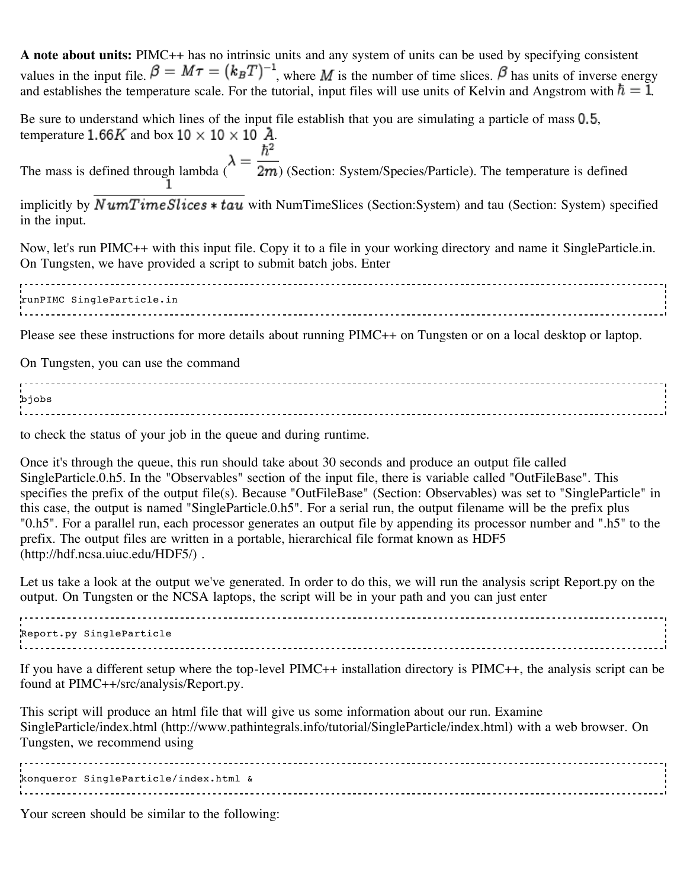| A note about units: PIMC++ has no intrinsic units and any system of units can be used by specifying consistent<br>values in the input file. $\beta = M\tau = (k_BT)^{-1}$ , where M is the number of time slices. $\beta$ has units of inverse energy<br>and establishes the temperature scale. For the tutorial, input files will use units of Kelvin and Angstrom with $\hbar = 1$ .                                                                                                                                                                                                                                                                                                                                                                                                                                                  |
|-----------------------------------------------------------------------------------------------------------------------------------------------------------------------------------------------------------------------------------------------------------------------------------------------------------------------------------------------------------------------------------------------------------------------------------------------------------------------------------------------------------------------------------------------------------------------------------------------------------------------------------------------------------------------------------------------------------------------------------------------------------------------------------------------------------------------------------------|
| Be sure to understand which lines of the input file establish that you are simulating a particle of mass 0.5,<br>temperature 1.66K and box $10 \times 10 \times 10$ Å.                                                                                                                                                                                                                                                                                                                                                                                                                                                                                                                                                                                                                                                                  |
| The mass is defined through lambda $\lambda = \frac{\hbar^2}{2m}$ (Section: System/Species/Particle). The temperature is defined                                                                                                                                                                                                                                                                                                                                                                                                                                                                                                                                                                                                                                                                                                        |
| implicitly by $NumTimeSlices * tau$ with NumTimeSlices (Section: System) and tau (Section: System) specified<br>in the input.                                                                                                                                                                                                                                                                                                                                                                                                                                                                                                                                                                                                                                                                                                           |
| Now, let's run PIMC++ with this input file. Copy it to a file in your working directory and name it SingleParticle.in.<br>On Tungsten, we have provided a script to submit batch jobs. Enter                                                                                                                                                                                                                                                                                                                                                                                                                                                                                                                                                                                                                                            |
| runPIMC SingleParticle.in                                                                                                                                                                                                                                                                                                                                                                                                                                                                                                                                                                                                                                                                                                                                                                                                               |
| Please see these instructions for more details about running PIMC++ on Tungsten or on a local desktop or laptop.                                                                                                                                                                                                                                                                                                                                                                                                                                                                                                                                                                                                                                                                                                                        |
| On Tungsten, you can use the command                                                                                                                                                                                                                                                                                                                                                                                                                                                                                                                                                                                                                                                                                                                                                                                                    |
| bjobs                                                                                                                                                                                                                                                                                                                                                                                                                                                                                                                                                                                                                                                                                                                                                                                                                                   |
| to check the status of your job in the queue and during runtime.                                                                                                                                                                                                                                                                                                                                                                                                                                                                                                                                                                                                                                                                                                                                                                        |
| Once it's through the queue, this run should take about 30 seconds and produce an output file called<br>SingleParticle.0.h5. In the "Observables" section of the input file, there is variable called "OutFileBase". This<br>specifies the prefix of the output file(s). Because "OutFileBase" (Section: Observables) was set to "SingleParticle" in<br>this case, the output is named "SingleParticle.0.h5". For a serial run, the output filename will be the prefix plus<br>"0.h5". For a parallel run, each processor generates an output file by appending its processor number and ".h5" to the<br>the state of the state of the state of the state of the state of the state of the state of the state of the state of the state of the state of the state of the state of the state of the state of the state of the state of t |

prefix. The output files are written in a portable, hierarchical file format known as HDF5 (http://hdf.ncsa.uiuc.edu/HDF5/) .

Let us take a look at the output we've generated. In order to do this, we will run the analysis script Report.py on the output. On Tungsten or the NCSA laptops, the script will be in your path and you can just enter

Report.py SingleParticle

If you have a different setup where the top-level PIMC++ installation directory is PIMC++, the analysis script can be found at PIMC++/src/analysis/Report.py.

This script will produce an html file that will give us some information about our run. Examine SingleParticle/index.html (http://www.pathintegrals.info/tutorial/SingleParticle/index.html) with a web browser. On Tungsten, we recommend using

konqueror SingleParticle/index.html &

Your screen should be similar to the following: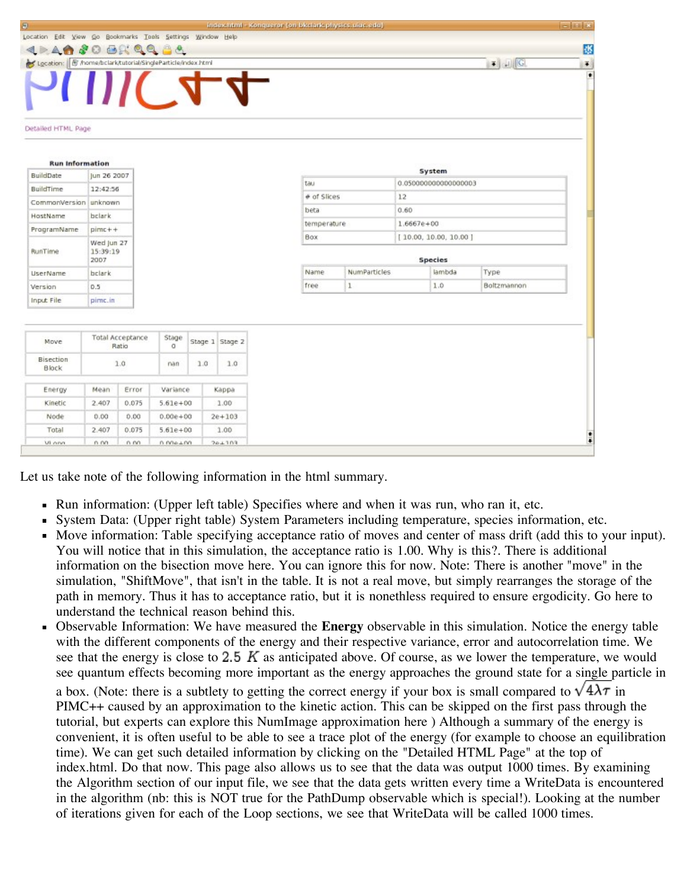| $\Theta$                                                                               |                                  |       |              |              |                 | indieschtml - Konquerer (en blociark physics, uiuc, edu) |             |              |                       |        |             | $=1018$                            |
|----------------------------------------------------------------------------------------|----------------------------------|-------|--------------|--------------|-----------------|----------------------------------------------------------|-------------|--------------|-----------------------|--------|-------------|------------------------------------|
| Location Edit View Go Bookmarks Tools Settings Window Help                             |                                  |       |              |              |                 |                                                          |             |              |                       |        |             |                                    |
| 424430889984                                                                           |                                  |       |              |              |                 |                                                          |             |              |                       |        |             | 依                                  |
| $\bullet$ $\Box$ $\Box$<br>Location: F /home/bclark/tutorial/SingleParticle/index.html |                                  |       |              |              |                 |                                                          |             |              |                       |        |             | $\left\vert \mathbf{F}\right\vert$ |
|                                                                                        |                                  |       |              |              | $\mathcal{A}$   |                                                          |             |              |                       |        |             | ٠                                  |
| Detailed HTML Page                                                                     |                                  |       |              |              |                 |                                                          |             |              |                       |        |             |                                    |
| <b>Run Information</b>                                                                 |                                  |       |              |              |                 |                                                          |             |              |                       |        |             |                                    |
| <b>BuildDate</b>                                                                       | Jun 26 2007                      |       |              |              |                 |                                                          |             |              |                       | System |             |                                    |
| BuildTime                                                                              | 12:42:56                         |       |              |              |                 | tau                                                      |             |              | 0.050000000000000003  |        |             |                                    |
| CommonVersion                                                                          | unknown                          |       |              |              |                 | # of Slices                                              |             |              | 12                    |        |             |                                    |
| HostName                                                                               | bclark                           |       |              |              |                 |                                                          | beta        |              | 0.60                  |        |             |                                    |
| ProgramName                                                                            | $pimc++$                         |       |              |              |                 |                                                          | temperature |              | $1.6667e + 00$        |        |             |                                    |
|                                                                                        | Wed Jun 27                       |       |              |              |                 | Box                                                      |             |              | [10.00, 10.00, 10.00] |        |             |                                    |
| RunTime                                                                                | 15:39:19<br>2007                 |       |              |              |                 | Species                                                  |             |              |                       |        |             |                                    |
| UserName                                                                               | bclark                           |       |              |              |                 | Name                                                     |             | NumParticles |                       | lambda | Type        |                                    |
| Version                                                                                | 0.5                              |       |              |              |                 | free                                                     |             | $\mathbf{1}$ |                       | 1.0    | Boltzmannon |                                    |
| Input File                                                                             | pime.in                          |       |              |              |                 |                                                          |             |              |                       |        |             |                                    |
|                                                                                        |                                  |       |              |              |                 |                                                          |             |              |                       |        |             |                                    |
| Move                                                                                   | <b>Total Acceptance</b><br>Ratio |       | Stage<br>o   |              | Stage 1 Stage 2 |                                                          |             |              |                       |        |             |                                    |
| Bisection<br>Block                                                                     | 1.0                              |       | nan          | 1.0          | 1.0             |                                                          |             |              |                       |        |             |                                    |
| Energy                                                                                 | Error<br>Mean                    |       | Variance     |              | Kappa           |                                                          |             |              |                       |        |             |                                    |
| Kinetic                                                                                | 2.407<br>0.075                   |       | $5.61e + 00$ |              | 1.00            |                                                          |             |              |                       |        |             |                                    |
| Node                                                                                   | 0.00                             | 0.00  |              | $0.00e + 00$ | $2e + 103$      |                                                          |             |              |                       |        |             |                                    |
| Total                                                                                  | 2.407                            | 0.075 | $5.61e + 00$ |              | 1.00            |                                                          |             |              |                       |        |             |                                    |
| VI onn                                                                                 | n nn                             | n nn  | n nne +nn    |              | 261103          |                                                          |             |              |                       |        |             | $\ddot{ }$                         |

Let us take note of the following information in the html summary.

- $\blacksquare$ Run information: (Upper left table) Specifies where and when it was run, who ran it, etc.
- System Data: (Upper right table) System Parameters including temperature, species information, etc.  $\blacksquare$
- Move information: Table specifying acceptance ratio of moves and center of mass drift (add this to your input). You will notice that in this simulation, the acceptance ratio is 1.00. Why is this?. There is additional information on the bisection move here. You can ignore this for now. Note: There is another "move" in the simulation, "ShiftMove", that isn't in the table. It is not a real move, but simply rearranges the storage of the path in memory. Thus it has to acceptance ratio, but it is nonethless required to ensure ergodicity. Go here to understand the technical reason behind this.
- Observable Information: We have measured the **Energy** observable in this simulation. Notice the energy table with the different components of the energy and their respective variance, error and autocorrelation time. We see that the energy is close to  $2.5 \, K$  as anticipated above. Of course, as we lower the temperature, we would see quantum effects becoming more important as the energy approaches the ground state for a single particle in a box. (Note: there is a subtlety to getting the correct energy if your box is small compared to  $\sqrt{4\lambda\tau}$  in PIMC++ caused by an approximation to the kinetic action. This can be skipped on the first pass through the tutorial, but experts can explore this NumImage approximation here ) Although a summary of the energy is convenient, it is often useful to be able to see a trace plot of the energy (for example to choose an equilibration time). We can get such detailed information by clicking on the "Detailed HTML Page" at the top of index.html. Do that now. This page also allows us to see that the data was output 1000 times. By examining the Algorithm section of our input file, we see that the data gets written every time a WriteData is encountered in the algorithm (nb: this is NOT true for the PathDump observable which is special!). Looking at the number of iterations given for each of the Loop sections, we see that WriteData will be called 1000 times.